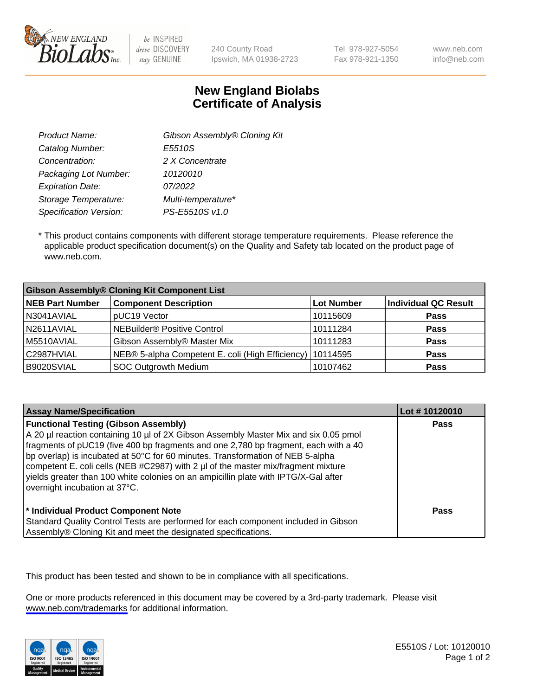

be INSPIRED drive DISCOVERY stay GENUINE

240 County Road Ipswich, MA 01938-2723 Tel 978-927-5054 Fax 978-921-1350 www.neb.com info@neb.com

## **New England Biolabs Certificate of Analysis**

| Gibson Assembly® Cloning Kit |
|------------------------------|
| E5510S                       |
| 2 X Concentrate              |
| 10120010                     |
| 07/2022                      |
| Multi-temperature*           |
| PS-E5510S v1.0               |
|                              |

 \* This product contains components with different storage temperature requirements. Please reference the applicable product specification document(s) on the Quality and Safety tab located on the product page of www.neb.com.

| <b>Gibson Assembly® Cloning Kit Component List</b> |                                                  |                   |                             |  |
|----------------------------------------------------|--------------------------------------------------|-------------------|-----------------------------|--|
| <b>NEB Part Number</b>                             | <b>Component Description</b>                     | <b>Lot Number</b> | <b>Individual QC Result</b> |  |
| N3041AVIAL                                         | pUC19 Vector                                     | 10115609          | <b>Pass</b>                 |  |
| N2611AVIAL                                         | NEBuilder <sup>®</sup> Positive Control          | 10111284          | <b>Pass</b>                 |  |
| M5510AVIAL                                         | Gibson Assembly® Master Mix                      | 10111283          | <b>Pass</b>                 |  |
| C2987HVIAL                                         | NEB® 5-alpha Competent E. coli (High Efficiency) | 10114595          | <b>Pass</b>                 |  |
| B9020SVIAL                                         | <b>SOC Outgrowth Medium</b>                      | 10107462          | <b>Pass</b>                 |  |

| <b>Assay Name/Specification</b>                                                                                                                                                                                                                                                                                                                                                                                                                                                                                           | Lot #10120010 |
|---------------------------------------------------------------------------------------------------------------------------------------------------------------------------------------------------------------------------------------------------------------------------------------------------------------------------------------------------------------------------------------------------------------------------------------------------------------------------------------------------------------------------|---------------|
| <b>Functional Testing (Gibson Assembly)</b><br>A 20 µl reaction containing 10 µl of 2X Gibson Assembly Master Mix and six 0.05 pmol<br>fragments of pUC19 (five 400 bp fragments and one 2,780 bp fragment, each with a 40<br>bp overlap) is incubated at 50°C for 60 minutes. Transformation of NEB 5-alpha<br>competent E. coli cells (NEB #C2987) with 2 µl of the master mix/fragment mixture<br>yields greater than 100 white colonies on an ampicillin plate with IPTG/X-Gal after<br>overnight incubation at 37°C. | Pass          |
| <sup>*</sup> Individual Product Component Note<br>Standard Quality Control Tests are performed for each component included in Gibson<br>Assembly® Cloning Kit and meet the designated specifications.                                                                                                                                                                                                                                                                                                                     | Pass          |

This product has been tested and shown to be in compliance with all specifications.

One or more products referenced in this document may be covered by a 3rd-party trademark. Please visit <www.neb.com/trademarks>for additional information.